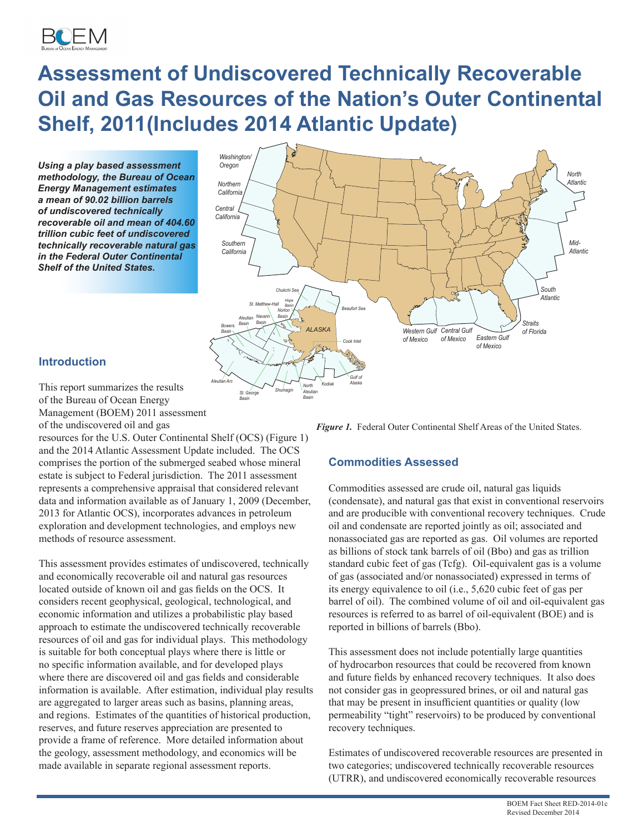

# **Assessment of Undiscovered Technically Recoverable Oil and Gas Resources of the Nation's Outer Continental Shelf, 2011(Includes 2014 Atlantic Update)**

*Using a play based assessment methodology, the Bureau of Ocean Energy Management estimates a mean of 90.02 billion barrels of undiscovered technically recoverable oil and mean of 404.60 trillion cubic feet of undiscovered technically recoverable natural gas in the Federal Outer Continental Shelf of the United States.*



# **Introduction**

This report summarizes the results of the Bureau of Ocean Energy Management (BOEM) 2011 assessment of the undiscovered oil and gas

resources for the U.S. Outer Continental Shelf (OCS) (Figure 1) and the 2014 Atlantic Assessment Update included. The OCS comprises the portion of the submerged seabed whose mineral estate is subject to Federal jurisdiction. The 2011 assessment represents a comprehensive appraisal that considered relevant data and information available as of January 1, 2009 (December, 2013 for Atlantic OCS), incorporates advances in petroleum exploration and development technologies, and employs new methods of resource assessment.

This assessment provides estimates of undiscovered, technically and economically recoverable oil and natural gas resources located outside of known oil and gas fields on the OCS. It considers recent geophysical, geological, technological, and economic information and utilizes a probabilistic play based approach to estimate the undiscovered technically recoverable resources of oil and gas for individual plays. This methodology is suitable for both conceptual plays where there is little or no specific information available, and for developed plays where there are discovered oil and gas fields and considerable information is available. After estimation, individual play results are aggregated to larger areas such as basins, planning areas, and regions. Estimates of the quantities of historical production, reserves, and future reserves appreciation are presented to provide a frame of reference. More detailed information about the geology, assessment methodology, and economics will be made available in separate regional assessment reports.

**Figure 1.** Federal Outer Continental Shelf Areas of the United States.

# **Commodities Assessed**

Commodities assessed are crude oil, natural gas liquids (condensate), and natural gas that exist in conventional reservoirs and are producible with conventional recovery techniques. Crude oil and condensate are reported jointly as oil; associated and nonassociated gas are reported as gas. Oil volumes are reported as billions of stock tank barrels of oil (Bbo) and gas as trillion standard cubic feet of gas (Tcfg). Oil-equivalent gas is a volume of gas (associated and/or nonassociated) expressed in terms of its energy equivalence to oil (i.e., 5,620 cubic feet of gas per barrel of oil). The combined volume of oil and oil-equivalent gas resources is referred to as barrel of oil-equivalent (BOE) and is reported in billions of barrels (Bbo).

This assessment does not include potentially large quantities of hydrocarbon resources that could be recovered from known and future fields by enhanced recovery techniques. It also does not consider gas in geopressured brines, or oil and natural gas that may be present in insufficient quantities or quality (low permeability "tight" reservoirs) to be produced by conventional recovery techniques.

Estimates of undiscovered recoverable resources are presented in two categories; undiscovered technically recoverable resources (UTRR), and undiscovered economically recoverable resources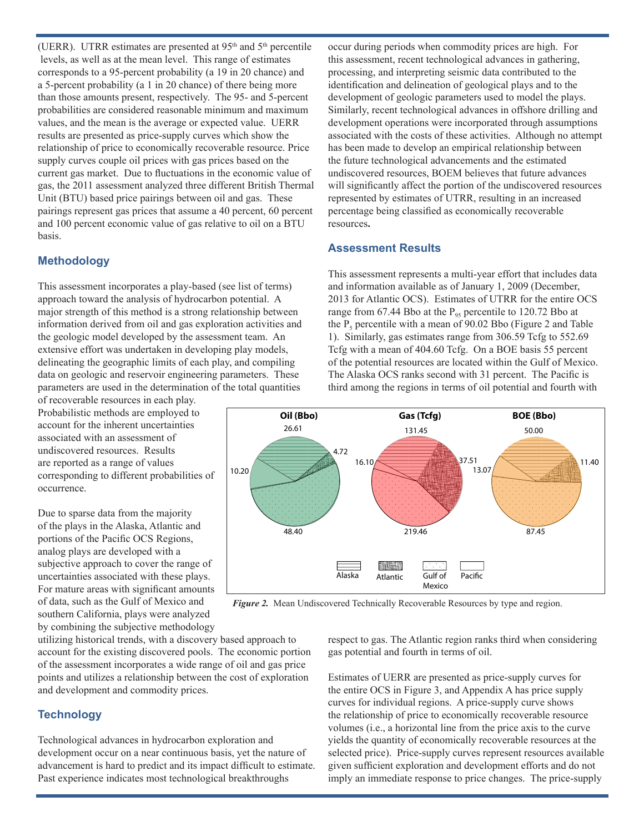(UERR). UTRR estimates are presented at  $95<sup>th</sup>$  and  $5<sup>th</sup>$  percentile levels, as well as at the mean level. This range of estimates corresponds to a 95-percent probability (a 19 in 20 chance) and a 5-percent probability (a 1 in 20 chance) of there being more than those amounts present, respectively. The 95- and 5-percent probabilities are considered reasonable minimum and maximum values, and the mean is the average or expected value. UERR results are presented as price-supply curves which show the relationship of price to economically recoverable resource. Price supply curves couple oil prices with gas prices based on the current gas market. Due to fluctuations in the economic value of gas, the 2011 assessment analyzed three different British Thermal Unit (BTU) based price pairings between oil and gas. These pairings represent gas prices that assume a 40 percent, 60 percent and 100 percent economic value of gas relative to oil on a BTU basis.

#### **Methodology**

This assessment incorporates a play-based (see list of terms) approach toward the analysis of hydrocarbon potential. A major strength of this method is a strong relationship between information derived from oil and gas exploration activities and the geologic model developed by the assessment team. An extensive effort was undertaken in developing play models, delineating the geographic limits of each play, and compiling data on geologic and reservoir engineering parameters. These parameters are used in the determination of the total quantities

of recoverable resources in each play. Probabilistic methods are employed to account for the inherent uncertainties associated with an assessment of undiscovered resources. Results are reported as a range of values corresponding to different probabilities of occurrence.

Due to sparse data from the majority of the plays in the Alaska, Atlantic and portions of the Pacific OCS Regions, analog plays are developed with a subjective approach to cover the range of uncertainties associated with these plays. For mature areas with significant amounts of data, such as the Gulf of Mexico and southern California, plays were analyzed by combining the subjective methodology occur during periods when commodity prices are high. For this assessment, recent technological advances in gathering, processing, and interpreting seismic data contributed to the identification and delineation of geological plays and to the development of geologic parameters used to model the plays. Similarly, recent technological advances in offshore drilling and development operations were incorporated through assumptions associated with the costs of these activities. Although no attempt has been made to develop an empirical relationship between the future technological advancements and the estimated undiscovered resources, BOEM believes that future advances will significantly affect the portion of the undiscovered resources represented by estimates of UTRR, resulting in an increased percentage being classified as economically recoverable resources**.**

# **Assessment Results**

This assessment represents a multi-year effort that includes data and information available as of January 1, 2009 (December, 2013 for Atlantic OCS). Estimates of UTRR for the entire OCS range from 67.44 Bbo at the  $P_{95}$  percentile to 120.72 Bbo at the  $P_5$  percentile with a mean of 90.02 Bbo (Figure 2 and Table 1). Similarly, gas estimates range from 306.59 Tcfg to 552.69 Tcfg with a mean of 404.60 Tcfg. On a BOE basis 55 percent of the potential resources are located within the Gulf of Mexico. The Alaska OCS ranks second with 31 percent. The Pacific is third among the regions in terms of oil potential and fourth with



*Figure 2.* Mean Undiscovered Technically Recoverable Resources by type and region.

utilizing historical trends, with a discovery based approach to account for the existing discovered pools. The economic portion of the assessment incorporates a wide range of oil and gas price points and utilizes a relationship between the cost of exploration and development and commodity prices.

# **Technology**

Technological advances in hydrocarbon exploration and development occur on a near continuous basis, yet the nature of advancement is hard to predict and its impact difficult to estimate. Past experience indicates most technological breakthroughs

respect to gas. The Atlantic region ranks third when considering gas potential and fourth in terms of oil.

Estimates of UERR are presented as price-supply curves for the entire OCS in Figure 3, and Appendix A has price supply curves for individual regions. A price-supply curve shows the relationship of price to economically recoverable resource volumes (i.e., a horizontal line from the price axis to the curve yields the quantity of economically recoverable resources at the selected price). Price-supply curves represent resources available given sufficient exploration and development efforts and do not imply an immediate response to price changes. The price-supply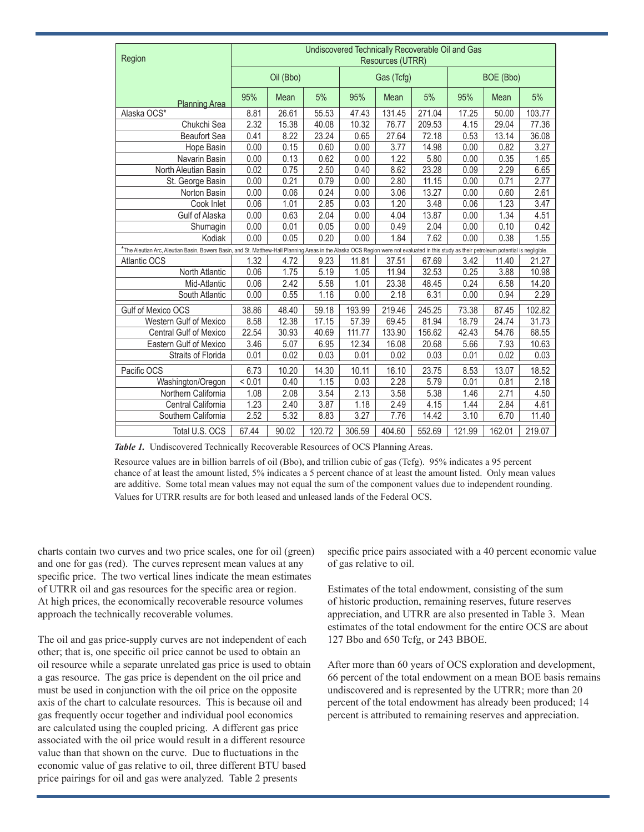| Region                                                                                                                                                                                     | Undiscovered Technically Recoverable Oil and Gas<br>Resources (UTRR) |           |        |            |        |        |           |        |        |
|--------------------------------------------------------------------------------------------------------------------------------------------------------------------------------------------|----------------------------------------------------------------------|-----------|--------|------------|--------|--------|-----------|--------|--------|
|                                                                                                                                                                                            |                                                                      | Oil (Bbo) |        | Gas (Tcfg) |        |        | BOE (Bbo) |        |        |
| <b>Planning Area</b>                                                                                                                                                                       | 95%                                                                  | Mean      | 5%     | 95%        | Mean   | 5%     | 95%       | Mean   | 5%     |
| Alaska OCS*                                                                                                                                                                                | 8.81                                                                 | 26.61     | 55.53  | 47.43      | 131.45 | 271.04 | 17.25     | 50.00  | 103.77 |
| Chukchi Sea                                                                                                                                                                                | 2.32                                                                 | 15.38     | 40.08  | 10.32      | 76.77  | 209.53 | 4.15      | 29.04  | 77.36  |
| <b>Beaufort Sea</b>                                                                                                                                                                        | 0.41                                                                 | 8.22      | 23.24  | 0.65       | 27.64  | 72.18  | 0.53      | 13.14  | 36.08  |
| Hope Basin                                                                                                                                                                                 | 0.00                                                                 | 0.15      | 0.60   | 0.00       | 3.77   | 14.98  | 0.00      | 0.82   | 3.27   |
| Navarin Basin                                                                                                                                                                              | 0.00                                                                 | 0.13      | 0.62   | 0.00       | 1.22   | 5.80   | 0.00      | 0.35   | 1.65   |
| North Aleutian Basin                                                                                                                                                                       | 0.02                                                                 | 0.75      | 2.50   | 0.40       | 8.62   | 23.28  | 0.09      | 2.29   | 6.65   |
| St. George Basin                                                                                                                                                                           | 0.00                                                                 | 0.21      | 0.79   | 0.00       | 2.80   | 11.15  | 0.00      | 0.71   | 2.77   |
| Norton Basin                                                                                                                                                                               | 0.00                                                                 | 0.06      | 0.24   | 0.00       | 3.06   | 13.27  | 0.00      | 0.60   | 2.61   |
| Cook Inlet                                                                                                                                                                                 | 0.06                                                                 | 1.01      | 2.85   | 0.03       | 1.20   | 3.48   | 0.06      | 1.23   | 3.47   |
| Gulf of Alaska                                                                                                                                                                             | 0.00                                                                 | 0.63      | 2.04   | 0.00       | 4.04   | 13.87  | 0.00      | 1.34   | 4.51   |
| Shumagin                                                                                                                                                                                   | 0.00                                                                 | 0.01      | 0.05   | 0.00       | 0.49   | 2.04   | 0.00      | 0.10   | 0.42   |
| Kodiak                                                                                                                                                                                     | 0.00                                                                 | 0.05      | 0.20   | 0.00       | 1.84   | 7.62   | 0.00      | 0.38   | 1.55   |
| *The Aleutian Arc, Aleutian Basin, Bowers Basin, and St. Matthew-Hall Planning Areas in the Alaska OCS Region were not evaluated in this study as their petroleum potential is negligible. |                                                                      |           |        |            |        |        |           |        |        |
| Atlantic OCS                                                                                                                                                                               | 1.32                                                                 | 4.72      | 9.23   | 11.81      | 37.51  | 67.69  | 3.42      | 11.40  | 21.27  |
| North Atlantic                                                                                                                                                                             | 0.06                                                                 | 1.75      | 5.19   | 1.05       | 11.94  | 32.53  | 0.25      | 3.88   | 10.98  |
| Mid-Atlantic                                                                                                                                                                               | 0.06                                                                 | 2.42      | 5.58   | 1.01       | 23.38  | 48.45  | 0.24      | 6.58   | 14.20  |
| South Atlantic                                                                                                                                                                             | 0.00                                                                 | 0.55      | 1.16   | 0.00       | 2.18   | 6.31   | 0.00      | 0.94   | 2.29   |
| Gulf of Mexico OCS                                                                                                                                                                         | 38.86                                                                | 48.40     | 59.18  | 193.99     | 219.46 | 245.25 | 73.38     | 87.45  | 102.82 |
| Western Gulf of Mexico                                                                                                                                                                     | 8.58                                                                 | 12.38     | 17.15  | 57.39      | 69.45  | 81.94  | 18.79     | 24.74  | 31.73  |
| <b>Central Gulf of Mexico</b>                                                                                                                                                              | 22.54                                                                | 30.93     | 40.69  | 111.77     | 133.90 | 156.62 | 42.43     | 54.76  | 68.55  |
| Eastern Gulf of Mexico                                                                                                                                                                     | 3.46                                                                 | 5.07      | 6.95   | 12.34      | 16.08  | 20.68  | 5.66      | 7.93   | 10.63  |
| <b>Straits of Florida</b>                                                                                                                                                                  | 0.01                                                                 | 0.02      | 0.03   | 0.01       | 0.02   | 0.03   | 0.01      | 0.02   | 0.03   |
| Pacific OCS                                                                                                                                                                                | 6.73                                                                 | 10.20     | 14.30  | 10.11      | 16.10  | 23.75  | 8.53      | 13.07  | 18.52  |
| Washington/Oregon                                                                                                                                                                          | < 0.01                                                               | 0.40      | 1.15   | 0.03       | 2.28   | 5.79   | 0.01      | 0.81   | 2.18   |
| Northern California                                                                                                                                                                        | 1.08                                                                 | 2.08      | 3.54   | 2.13       | 3.58   | 5.38   | 1.46      | 2.71   | 4.50   |
| Central California                                                                                                                                                                         | 1.23                                                                 | 2.40      | 3.87   | 1.18       | 2.49   | 4.15   | 1.44      | 2.84   | 4.61   |
| Southern California                                                                                                                                                                        | 2.52                                                                 | 5.32      | 8.83   | 3.27       | 7.76   | 14.42  | 3.10      | 6.70   | 11.40  |
| Total U.S. OCS                                                                                                                                                                             | 67.44                                                                | 90.02     | 120.72 | 306.59     | 404.60 | 552.69 | 121.99    | 162.01 | 219.07 |

*Table 1.* Undiscovered Technically Recoverable Resources of OCS Planning Areas.

Resource values are in billion barrels of oil (Bbo), and trillion cubic of gas (Tcfg). 95% indicates a 95 percent chance of at least the amount listed, 5% indicates a 5 percent chance of at least the amount listed. Only mean values are additive. Some total mean values may not equal the sum of the component values due to independent rounding. Values for UTRR results are for both leased and unleased lands of the Federal OCS.

charts contain two curves and two price scales, one for oil (green) and one for gas (red). The curves represent mean values at any specific price. The two vertical lines indicate the mean estimates of UTRR oil and gas resources for the specific area or region. At high prices, the economically recoverable resource volumes approach the technically recoverable volumes.

The oil and gas price-supply curves are not independent of each other; that is, one specific oil price cannot be used to obtain an oil resource while a separate unrelated gas price is used to obtain a gas resource. The gas price is dependent on the oil price and must be used in conjunction with the oil price on the opposite axis of the chart to calculate resources. This is because oil and gas frequently occur together and individual pool economics are calculated using the coupled pricing. A different gas price associated with the oil price would result in a different resource value than that shown on the curve. Due to fluctuations in the economic value of gas relative to oil, three different BTU based price pairings for oil and gas were analyzed. Table 2 presents

specific price pairs associated with a 40 percent economic value of gas relative to oil.

Estimates of the total endowment, consisting of the sum of historic production, remaining reserves, future reserves appreciation, and UTRR are also presented in Table 3. Mean estimates of the total endowment for the entire OCS are about 127 Bbo and 650 Tcfg, or 243 BBOE.

After more than 60 years of OCS exploration and development, 66 percent of the total endowment on a mean BOE basis remains undiscovered and is represented by the UTRR; more than 20 percent of the total endowment has already been produced; 14 percent is attributed to remaining reserves and appreciation.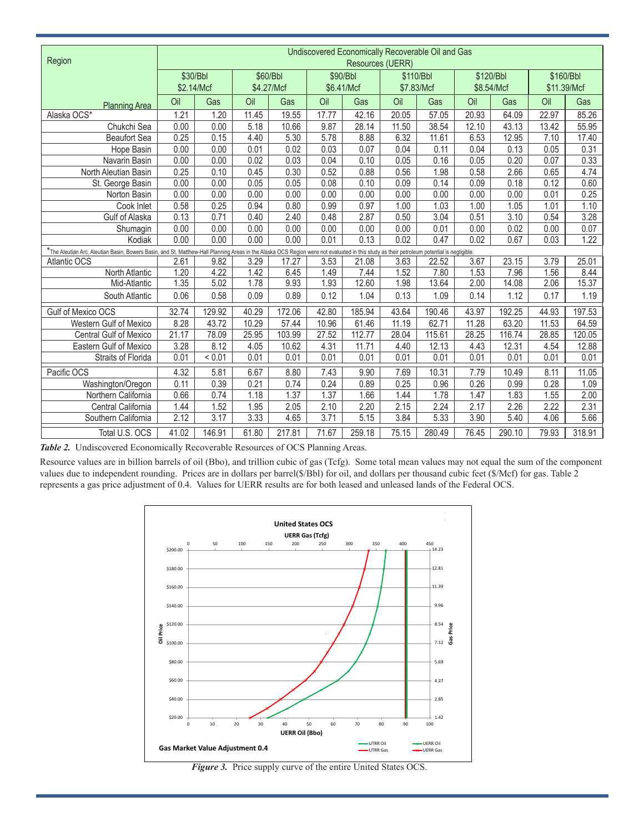| Region                                                                                                                                                                                     | Undiscovered Economically Recoverable Oil and Gas |        |            |        |            |        |            |        |            |        |             |        |
|--------------------------------------------------------------------------------------------------------------------------------------------------------------------------------------------|---------------------------------------------------|--------|------------|--------|------------|--------|------------|--------|------------|--------|-------------|--------|
|                                                                                                                                                                                            | <b>Resources (UERR)</b>                           |        |            |        |            |        |            |        |            |        |             |        |
|                                                                                                                                                                                            | \$30/Bbl                                          |        | \$60/Bbl   |        | \$90/Bbl   |        | \$110/Bbl  |        | \$120/Bbl  |        | \$160/Bbl   |        |
|                                                                                                                                                                                            | \$2.14/Mcf                                        |        | \$4.27/Mcf |        | \$6.41/Mcf |        | \$7.83/Mcf |        | \$8.54/Mcf |        | \$11.39/Mcf |        |
| <b>Planning Area</b>                                                                                                                                                                       | Oil                                               | Gas    | Oil        | Gas    | Oil        | Gas    | Oil        | Gas    | Oil        | Gas    | Oil         | Gas    |
| Alaska OCS*                                                                                                                                                                                | 1.21                                              | 1.20   | 11.45      | 19.55  | 17.77      | 42.16  | 20.05      | 57.05  | 20.93      | 64.09  | 22.97       | 85.26  |
| Chukchi Sea                                                                                                                                                                                | 0.00                                              | 0.00   | 5.18       | 10.66  | 9.87       | 28.14  | 11.50      | 38.54  | 12.10      | 43.13  | 13.42       | 55.95  |
| <b>Beaufort Sea</b>                                                                                                                                                                        | 0.25                                              | 0.15   | 4.40       | 5.30   | 5.78       | 8.88   | 6.32       | 11.61  | 6.53       | 12.95  | 7.10        | 17.40  |
| Hope Basin                                                                                                                                                                                 | 0.00                                              | 0.00   | 0.01       | 0.02   | 0.03       | 0.07   | 0.04       | 0.11   | 0.04       | 0.13   | 0.05        | 0.31   |
| Navarin Basin                                                                                                                                                                              | 0.00                                              | 0.00   | 0.02       | 0.03   | 0.04       | 0.10   | 0.05       | 0.16   | 0.05       | 0.20   | 0.07        | 0.33   |
| North Aleutian Basin                                                                                                                                                                       | 0.25                                              | 0.10   | 0.45       | 0.30   | 0.52       | 0.88   | 0.56       | 1.98   | 0.58       | 2.66   | 0.65        | 4.74   |
| St. George Basin                                                                                                                                                                           | 0.00                                              | 0.00   | 0.05       | 0.05   | 0.08       | 0.10   | 0.09       | 0.14   | 0.09       | 0.18   | 0.12        | 0.60   |
| Norton Basin                                                                                                                                                                               | 0.00                                              | 0.00   | 0.00       | 0.00   | 0.00       | 0.00   | 0.00       | 0.00   | 0.00       | 0.00   | 0.01        | 0.25   |
| Cook Inlet                                                                                                                                                                                 | 0.58                                              | 0.25   | 0.94       | 0.80   | 0.99       | 0.97   | 1.00       | 1.03   | 1.00       | 1.05   | 1.01        | 1.10   |
| Gulf of Alaska                                                                                                                                                                             | 0.13                                              | 0.71   | 0.40       | 2.40   | 0.48       | 2.87   | 0.50       | 3.04   | 0.51       | 3.10   | 0.54        | 3.28   |
| Shumagin                                                                                                                                                                                   | 0.00                                              | 0.00   | 0.00       | 0.00   | 0.00       | 0.00   | 0.00       | 0.01   | 0.00       | 0.02   | 0.00        | 0.07   |
| Kodiak                                                                                                                                                                                     | 0.00                                              | 0.00   | 0.00       | 0.00   | 0.01       | 0.13   | 0.02       | 0.47   | 0.02       | 0.67   | 0.03        | 1.22   |
| *The Aleutian Arc, Aleutian Basin, Bowers Basin, and St. Matthew-Hall Planning Areas in the Alaska OCS Region were not evaluated in this study as their petroleum potential is negligible. |                                                   |        |            |        |            |        |            |        |            |        |             |        |
| Atlantic OCS                                                                                                                                                                               | 2.61                                              | 9.82   | 3.29       | 17.27  | 3.53       | 21.08  | 3.63       | 22.52  | 3.67       | 23.15  | 3.79        | 25.01  |
| North Atlantic                                                                                                                                                                             | 1.20                                              | 4.22   | 1.42       | 6.45   | 1.49       | 7.44   | 1.52       | 7.80   | 1.53       | 7.96   | 1.56        | 8.44   |
| Mid-Atlantic                                                                                                                                                                               | 1.35                                              | 5.02   | 1.78       | 9.93   | 1.93       | 12.60  | 1.98       | 13.64  | 2.00       | 14.08  | 2.06        | 15.37  |
| South Atlantic                                                                                                                                                                             | 0.06                                              | 0.58   | 0.09       | 0.89   | 0.12       | 1.04   | 0.13       | 1.09   | 0.14       | 1.12   | 0.17        | 1.19   |
| Gulf of Mexico OCS                                                                                                                                                                         | 32.74                                             | 129.92 | 40.29      | 172.06 | 42.80      | 185.94 | 43.64      | 190.46 | 43.97      | 192.25 | 44.93       | 197.53 |
| Western Gulf of Mexico                                                                                                                                                                     | 8.28                                              | 43.72  | 10.29      | 57.44  | 10.96      | 61.46  | 11.19      | 62.71  | 11.28      | 63.20  | 11.53       | 64.59  |
| <b>Central Gulf of Mexico</b>                                                                                                                                                              | 21.17                                             | 78.09  | 25.95      | 103.99 | 27.52      | 112.77 | 28.04      | 115.61 | 28.25      | 116.74 | 28.85       | 120.05 |
| <b>Eastern Gulf of Mexico</b>                                                                                                                                                              | 3.28                                              | 8.12   | 4.05       | 10.62  | 4.31       | 11.71  | 4.40       | 12.13  | 4.43       | 12.31  | 4.54        | 12.88  |
| Straits of Florida                                                                                                                                                                         | 0.01                                              | < 0.01 | 0.01       | 0.01   | 0.01       | 0.01   | 0.01       | 0.01   | 0.01       | 0.01   | 0.01        | 0.01   |
| Pacific OCS                                                                                                                                                                                | 4.32                                              | 5.81   | 6.67       | 8.80   | 7.43       | 9.90   | 7.69       | 10.31  | 7.79       | 10.49  | 8.11        | 11.05  |
| Washington/Oregon                                                                                                                                                                          | 0.11                                              | 0.39   | 0.21       | 0.74   | 0.24       | 0.89   | 0.25       | 0.96   | 0.26       | 0.99   | 0.28        | 1.09   |
| Northern California                                                                                                                                                                        | 0.66                                              | 0.74   | 1.18       | 1.37   | 1.37       | 1.66   | 1.44       | 1.78   | 1.47       | 1.83   | 1.55        | 2.00   |
| Central California                                                                                                                                                                         | 1.44                                              | 1.52   | 1.95       | 2.05   | 2.10       | 2.20   | 2.15       | 2.24   | 2.17       | 2.26   | 2.22        | 2.31   |
| Southern California                                                                                                                                                                        | 2.12                                              | 3.17   | 3.33       | 4.65   | 3.71       | 5.15   | 3.84       | 5.33   | 3.90       | 5.40   | 4.06        | 5.66   |
| Total U.S. OCS                                                                                                                                                                             | 41.02                                             | 146.91 | 61.80      | 217.81 | 71.67      | 259.18 | 75.15      | 280.49 | 76.45      | 290.10 | 79.93       | 318.91 |

*Table 2.* Undiscovered Economically Recoverable Resources of OCS Planning Areas.

Resource values are in billion barrels of oil (Bbo), and trillion cubic of gas (Tcfg). Some total mean values may not equal the sum of the component values due to independent rounding. Prices are in dollars per barrel(\$/Bbl) for oil, and dollars per thousand cubic feet (\$/Mcf) for gas. Table 2 represents a gas price adjustment of 0.4. Values for UERR results are for both leased and unleased lands of the Federal OCS.



*Figure 3.* Price supply curve of the entire United States OCS.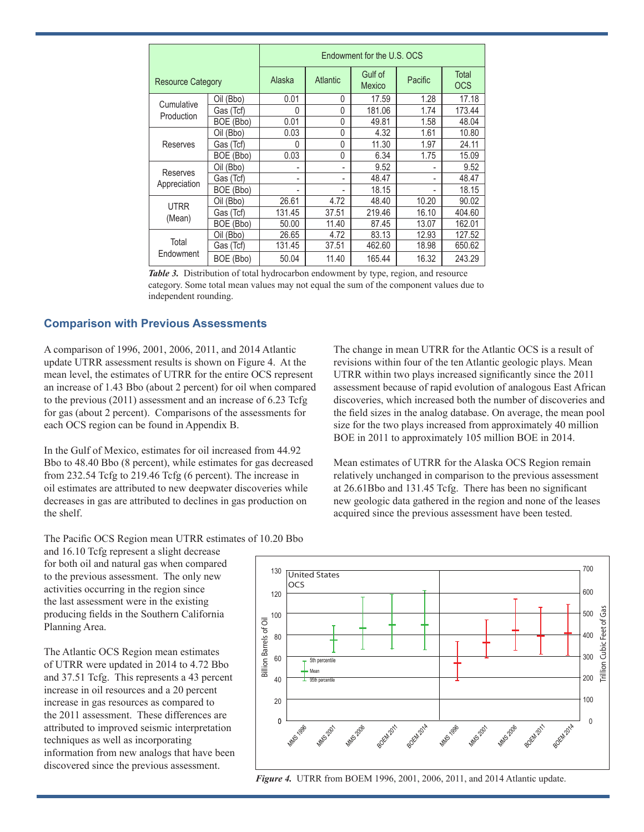|                          |           | Endowment for the U.S. OCS |                 |                   |         |                     |  |  |  |  |
|--------------------------|-----------|----------------------------|-----------------|-------------------|---------|---------------------|--|--|--|--|
| <b>Resource Category</b> |           | Alaska                     | <b>Atlantic</b> | Gulf of<br>Mexico | Pacific | Total<br><b>OCS</b> |  |  |  |  |
| Cumulative<br>Production | Oil (Bbo) | 0.01                       | $\Omega$        | 17.59             | 1.28    | 17.18               |  |  |  |  |
|                          | Gas (Tcf) | U                          | $\Omega$        | 181.06            | 1.74    | 173.44              |  |  |  |  |
|                          | BOE (Bbo) | 0.01                       | 0               | 49.81             | 1.58    | 48.04               |  |  |  |  |
| Reserves                 | Oil (Bbo) | 0.03                       | $\Omega$        | 4.32              | 1.61    | 10.80               |  |  |  |  |
|                          | Gas (Tcf) | $\Omega$                   | $\Omega$        | 11.30             | 1.97    | 24.11               |  |  |  |  |
|                          | BOE (Bbo) | 0.03                       | $\Omega$        | 6.34              | 1.75    | 15.09               |  |  |  |  |
| Reserves<br>Appreciation | Oil (Bbo) |                            |                 | 9.52              |         | 9.52                |  |  |  |  |
|                          | Gas (Tcf) | -                          |                 | 48.47             |         | 48.47               |  |  |  |  |
|                          | BOE (Bbo) |                            |                 | 18.15             |         | 18.15               |  |  |  |  |
| <b>UTRR</b><br>(Mean)    | Oil (Bbo) | 26.61                      | 4.72            | 48.40             | 10.20   | 90.02               |  |  |  |  |
|                          | Gas (Tcf) | 131.45                     | 37.51           | 219.46            | 16.10   | 404.60              |  |  |  |  |
|                          | BOE (Bbo) | 50.00                      | 11.40           | 87.45             | 13.07   | 162.01              |  |  |  |  |
| Total<br>Endowment       | Oil (Bbo) | 26.65                      | 4.72            | 83.13             | 12.93   | 127.52              |  |  |  |  |
|                          | Gas (Tcf) | 131.45                     | 37.51           | 462.60            | 18.98   | 650.62              |  |  |  |  |
|                          | BOE (Bbo) | 50.04                      | 11.40           | 165.44            | 16.32   | 243.29              |  |  |  |  |

*Table 3.* Distribution of total hydrocarbon endowment by type, region, and resource category. Some total mean values may not equal the sum of the component values due to independent rounding.

#### **Comparison with Previous Assessments**

A comparison of 1996, 2001, 2006, 2011, and 2014 Atlantic update UTRR assessment results is shown on Figure 4. At the mean level, the estimates of UTRR for the entire OCS represent an increase of 1.43 Bbo (about 2 percent) for oil when compared to the previous (2011) assessment and an increase of 6.23 Tcfg for gas (about 2 percent). Comparisons of the assessments for each OCS region can be found in Appendix B.

In the Gulf of Mexico, estimates for oil increased from 44.92 Bbo to 48.40 Bbo (8 percent), while estimates for gas decreased from 232.54 Tcfg to 219.46 Tcfg (6 percent). The increase in oil estimates are attributed to new deepwater discoveries while decreases in gas are attributed to declines in gas production on the shelf.

The change in mean UTRR for the Atlantic OCS is a result of revisions within four of the ten Atlantic geologic plays. Mean UTRR within two plays increased significantly since the 2011 assessment because of rapid evolution of analogous East African discoveries, which increased both the number of discoveries and the field sizes in the analog database. On average, the mean pool size for the two plays increased from approximately 40 million BOE in 2011 to approximately 105 million BOE in 2014.

Mean estimates of UTRR for the Alaska OCS Region remain relatively unchanged in comparison to the previous assessment at 26.61Bbo and 131.45 Tcfg. There has been no significant new geologic data gathered in the region and none of the leases acquired since the previous assessment have been tested.

The Pacific OCS Region mean UTRR estimates of 10.20 Bbo

and 16.10 Tcfg represent a slight decrease for both oil and natural gas when compared to the previous assessment. The only new activities occurring in the region since the last assessment were in the existing producing fields in the Southern California Planning Area.

The Atlantic OCS Region mean estimates of UTRR were updated in 2014 to 4.72 Bbo and 37.51 Tcfg. This represents a 43 percent increase in oil resources and a 20 percent increase in gas resources as compared to the 2011 assessment. These differences are attributed to improved seismic interpretation techniques as well as incorporating information from new analogs that have been discovered since the previous assessment.



*Figure 4.* UTRR from BOEM 1996, 2001, 2006, 2011, and 2014 Atlantic update.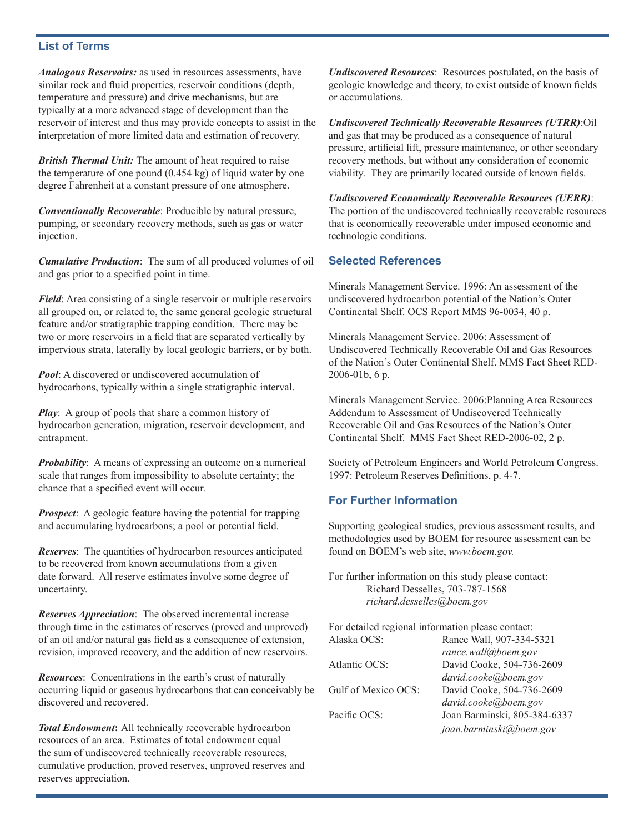# **List of Terms**

*Analogous Reservoirs:* as used in resources assessments, have similar rock and fluid properties, reservoir conditions (depth, temperature and pressure) and drive mechanisms, but are typically at a more advanced stage of development than the reservoir of interest and thus may provide concepts to assist in the interpretation of more limited data and estimation of recovery.

*British Thermal Unit:* The amount of heat required to raise the temperature of one pound (0.454 kg) of liquid water by one degree Fahrenheit at a constant pressure of one atmosphere.

*Conventionally Recoverable*: Producible by natural pressure, pumping, or secondary recovery methods, such as gas or water injection.

*Cumulative Production*: The sum of all produced volumes of oil and gas prior to a specified point in time.

*Field*: Area consisting of a single reservoir or multiple reservoirs all grouped on, or related to, the same general geologic structural feature and/or stratigraphic trapping condition. There may be two or more reservoirs in a field that are separated vertically by impervious strata, laterally by local geologic barriers, or by both.

*Pool*: A discovered or undiscovered accumulation of hydrocarbons, typically within a single stratigraphic interval.

*Play*: A group of pools that share a common history of hydrocarbon generation, migration, reservoir development, and entrapment.

*Probability*: A means of expressing an outcome on a numerical scale that ranges from impossibility to absolute certainty; the chance that a specified event will occur.

*Prospect*: A geologic feature having the potential for trapping and accumulating hydrocarbons; a pool or potential field.

*Reserves*: The quantities of hydrocarbon resources anticipated to be recovered from known accumulations from a given date forward. All reserve estimates involve some degree of uncertainty.

*Reserves Appreciation*: The observed incremental increase through time in the estimates of reserves (proved and unproved) of an oil and/or natural gas field as a consequence of extension, revision, improved recovery, and the addition of new reservoirs.

*Resources*: Concentrations in the earth's crust of naturally occurring liquid or gaseous hydrocarbons that can conceivably be discovered and recovered.

*Total Endowment***:** All technically recoverable hydrocarbon resources of an area. Estimates of total endowment equal the sum of undiscovered technically recoverable resources, cumulative production, proved reserves, unproved reserves and reserves appreciation.

*Undiscovered Resources*: Resources postulated, on the basis of geologic knowledge and theory, to exist outside of known fields or accumulations.

*Undiscovered Technically Recoverable Resources (UTRR)*:Oil and gas that may be produced as a consequence of natural pressure, artificial lift, pressure maintenance, or other secondary recovery methods, but without any consideration of economic viability. They are primarily located outside of known fields.

*Undiscovered Economically Recoverable Resources (UERR)*: The portion of the undiscovered technically recoverable resources that is economically recoverable under imposed economic and technologic conditions.

#### **Selected References**

Minerals Management Service. 1996: An assessment of the undiscovered hydrocarbon potential of the Nation's Outer Continental Shelf. OCS Report MMS 96-0034, 40 p.

Minerals Management Service. 2006: Assessment of Undiscovered Technically Recoverable Oil and Gas Resources of the Nation's Outer Continental Shelf. MMS Fact Sheet RED-2006-01b, 6 p.

Minerals Management Service. 2006:Planning Area Resources Addendum to Assessment of Undiscovered Technically Recoverable Oil and Gas Resources of the Nation's Outer Continental Shelf. MMS Fact Sheet RED-2006-02, 2 p.

Society of Petroleum Engineers and World Petroleum Congress. 1997: Petroleum Reserves Definitions, p. 4-7.

# **For Further Information**

Supporting geological studies, previous assessment results, and methodologies used by BOEM for resource assessment can be found on BOEM's web site, *www.boem.gov.*

For further information on this study please contact: Richard Desselles, 703-787-1568 *richard.desselles@boem.gov*

For detailed regional information please contact: Alaska OCS: Rance Wall, 907-334-5321 *rance.wall@boem.gov* Atlantic OCS: David Cooke, 504-736-2609 *david.cooke@boem.gov* Gulf of Mexico OCS: David Cooke, 504-736-2609 *david.cooke@boem.gov* Pacific OCS: Joan Barminski, 805-384-6337 *joan.barminski@boem.gov*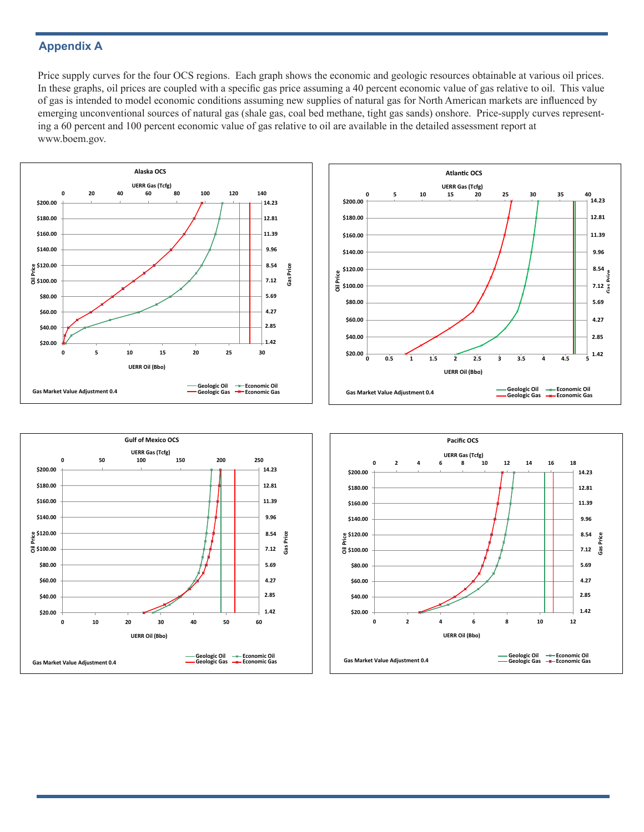# **Appendix A**

Price supply curves for the four OCS regions. Each graph shows the economic and geologic resources obtainable at various oil prices. In these graphs, oil prices are coupled with a specific gas price assuming a 40 percent economic value of gas relative to oil. This value of gas is intended to model economic conditions assuming new supplies of natural gas for North American markets are influenced by emerging unconventional sources of natural gas (shale gas, coal bed methane, tight gas sands) onshore. Price-supply curves representing a 60 percent and 100 percent economic value of gas relative to oil are available in the detailed assessment report at www.boem.gov.